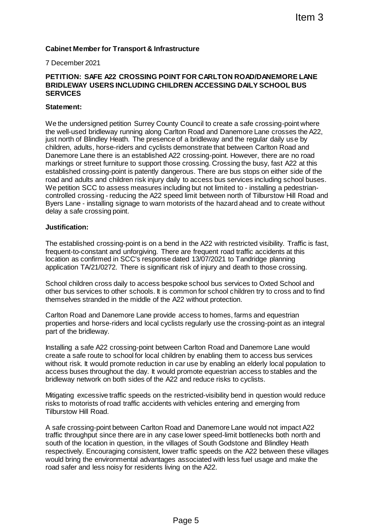## **Cabinet Member for Transport & Infrastructure**

#### 7 December 2021

## **PETITION: SAFE A22 CROSSING POINT FOR CARLTON ROAD/DANEMORE LANE BRIDLEWAY USERS INCLUDING CHILDREN ACCESSING DAILY SCHOOL BUS SERVICES**

### **Statement:**

We the undersigned petition Surrey County Council to create a safe crossing-point where the well-used bridleway running along Carlton Road and Danemore Lane crosses the A22, just north of Blindley Heath. The presence of a bridleway and the regular daily use by children, adults, horse-riders and cyclists demonstrate that between Carlton Road and Danemore Lane there is an established A22 crossing-point. However, there are no road markings or street furniture to support those crossing. Crossing the busy, fast A22 at this established crossing-point is patently dangerous. There are bus stops on either side of the road and adults and children risk injury daily to access bus services including school buses. We petition SCC to assess measures including but not limited to - installing a pedestriancontrolled crossing - reducing the A22 speed limit between north of Tilburstow Hill Road and Byers Lane - installing signage to warn motorists of the hazard ahead and to create without delay a safe crossing point. Iftern 3<br>
Iftern 3<br>
THEOR CARLTON ROAD/DANEMORE LANE<br>
DREN ACCESSING DAILY SCHOOL BUS<br>
IV Council to create a safe crossing-point where<br>
then Road and Danemore Lane recosses the A22<br>
demonstrate that between Cartion Road a

#### **Justification:**

The established crossing-point is on a bend in the A22 with restricted visibility. Traffic is fast, frequent-to-constant and unforgiving. There are frequent road traffic accidents at this location as confirmed in SCC's response dated 13/07/2021 to Tandridge planning application TA/21/0272. There is significant risk of injury and death to those crossing.

School children cross daily to access bespoke school bus services to Oxted School and other bus services to other schools. It is common for school children try to cross and to find themselves stranded in the middle of the A22 without protection.

Carlton Road and Danemore Lane provide access to homes, farms and equestrian properties and horse-riders and local cyclists regularly use the crossing-point as an integral part of the bridleway.

Installing a safe A22 crossing-point between Carlton Road and Danemore Lane would create a safe route to school for local children by enabling them to access bus services without risk. It would promote reduction in car use by enabling an elderly local population to access buses throughout the day. It would promote equestrian access to stables and the bridleway network on both sides of the A22 and reduce risks to cyclists.

Mitigating excessive traffic speeds on the restricted-visibility bend in question would reduce risks to motorists of road traffic accidents with vehicles entering and emerging from Tilburstow Hill Road.

A safe crossing-point between Carlton Road and Danemore Lane would not impact A22 traffic throughput since there are in any case lower speed-limit bottlenecks both north and south of the location in question, in the villages of South Godstone and Blindley Heath respectively. Encouraging consistent, lower traffic speeds on the A22 between these villages would bring the environmental advantages associated with less fuel usage and make the road safer and less noisy for residents living on the A22.